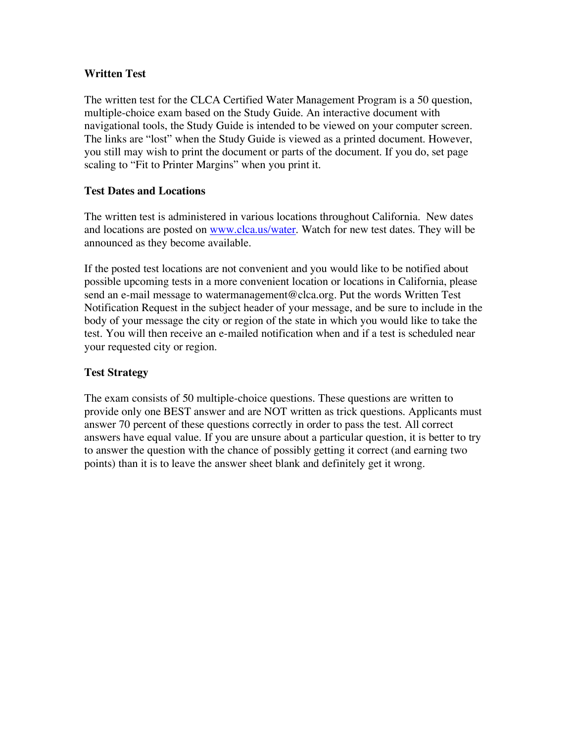## **Written Test**

The written test for the CLCA Certified Water Management Program is a 50 question, multiple-choice exam based on the Study Guide. An interactive document with navigational tools, the Study Guide is intended to be viewed on your computer screen. The links are "lost" when the Study Guide is viewed as a printed document. However, you still may wish to print the document or parts of the document. If you do, set page scaling to "Fit to Printer Margins" when you print it.

# **Test Dates and Locations**

The written test is administered in various locations throughout California. New dates and locations are posted on www.clca.us/water. Watch for new test dates. They will be announced as they become available.

If the posted test locations are not convenient and you would like to be notified about possible upcoming tests in a more convenient location or locations in California, please send an e-mail message to watermanagement@clca.org. Put the words Written Test Notification Request in the subject header of your message, and be sure to include in the body of your message the city or region of the state in which you would like to take the test. You will then receive an e-mailed notification when and if a test is scheduled near your requested city or region.

# **Test Strategy**

The exam consists of 50 multiple-choice questions. These questions are written to provide only one BEST answer and are NOT written as trick questions. Applicants must answer 70 percent of these questions correctly in order to pass the test. All correct answers have equal value. If you are unsure about a particular question, it is better to try to answer the question with the chance of possibly getting it correct (and earning two points) than it is to leave the answer sheet blank and definitely get it wrong.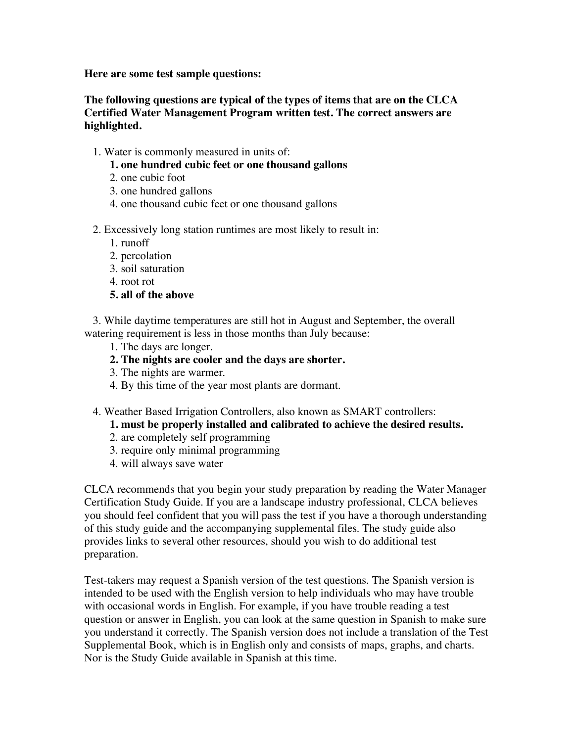**Here are some test sample questions:**

# **The following questions are typical of the types of items that are on the CLCA Certified Water Management Program written test. The correct answers are highlighted.**

1. Water is commonly measured in units of:

## **1. one hundred cubic feet or one thousand gallons**

- 2. one cubic foot
- 3. one hundred gallons
- 4. one thousand cubic feet or one thousand gallons
- 2. Excessively long station runtimes are most likely to result in:
	- 1. runoff
	- 2. percolation
	- 3. soil saturation
	- 4. root rot
	- **5. all of the above**

 3. While daytime temperatures are still hot in August and September, the overall watering requirement is less in those months than July because:

- 1. The days are longer.
- **2. The nights are cooler and the days are shorter.**
- 3. The nights are warmer.
- 4. By this time of the year most plants are dormant.
- 4. Weather Based Irrigation Controllers, also known as SMART controllers:
	- **1. must be properly installed and calibrated to achieve the desired results.**
	- 2. are completely self programming
	- 3. require only minimal programming
	- 4. will always save water

CLCA recommends that you begin your study preparation by reading the Water Manager Certification Study Guide. If you are a landscape industry professional, CLCA believes you should feel confident that you will pass the test if you have a thorough understanding of this study guide and the accompanying supplemental files. The study guide also provides links to several other resources, should you wish to do additional test preparation.

Test-takers may request a Spanish version of the test questions. The Spanish version is intended to be used with the English version to help individuals who may have trouble with occasional words in English. For example, if you have trouble reading a test question or answer in English, you can look at the same question in Spanish to make sure you understand it correctly. The Spanish version does not include a translation of the Test Supplemental Book, which is in English only and consists of maps, graphs, and charts. Nor is the Study Guide available in Spanish at this time.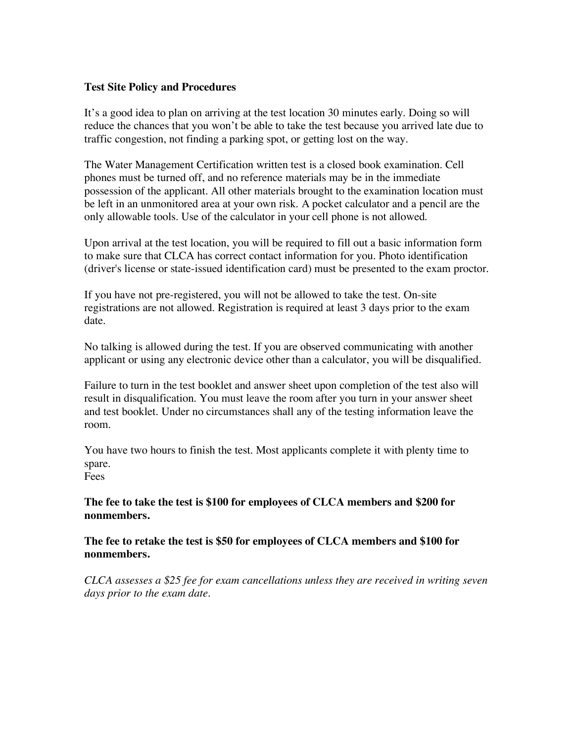#### **Test Site Policy and Procedures**

It's a good idea to plan on arriving at the test location 30 minutes early. Doing so will reduce the chances that you won't be able to take the test because you arrived late due to traffic congestion, not finding a parking spot, or getting lost on the way.

The Water Management Certification written test is a closed book examination. Cell phones must be turned off, and no reference materials may be in the immediate possession of the applicant. All other materials brought to the examination location must be left in an unmonitored area at your own risk. A pocket calculator and a pencil are the only allowable tools. Use of the calculator in your cell phone is not allowed.

Upon arrival at the test location, you will be required to fill out a basic information form to make sure that CLCA has correct contact information for you. Photo identification (driver's license or state-issued identification card) must be presented to the exam proctor.

If you have not pre-registered, you will not be allowed to take the test. On-site registrations are not allowed. Registration is required at least 3 days prior to the exam date.

No talking is allowed during the test. If you are observed communicating with another applicant or using any electronic device other than a calculator, you will be disqualified.

Failure to turn in the test booklet and answer sheet upon completion of the test also will result in disqualification. You must leave the room after you turn in your answer sheet and test booklet. Under no circumstances shall any of the testing information leave the room.

You have two hours to finish the test. Most applicants complete it with plenty time to spare. Fees

**The fee to take the test is \$100 for employees of CLCA members and \$200 for nonmembers.**

**The fee to retake the test is \$50 for employees of CLCA members and \$100 for nonmembers.**

*CLCA assesses a \$25 fee for exam cancellations unless they are received in writing seven days prior to the exam date.*